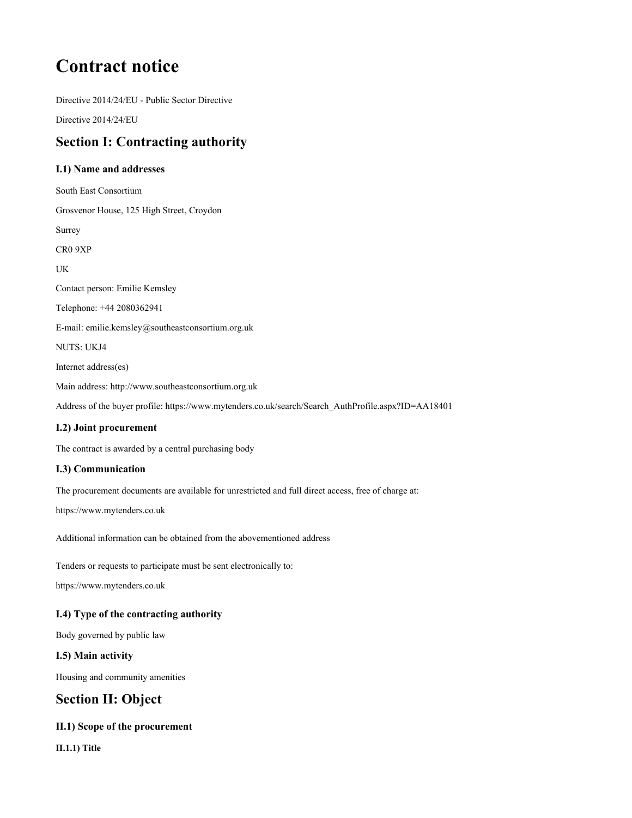# **Contract notice**

**Directive 2014/24/EU - Public Sector Directive**

**Directive 2014/24/EU**

# **Section I: Contracting authority**

# **I.1) Name and addresses**

**South East Consortium Grosvenor House, 125 High Street, Croydon Surrey CR0 9XP UK Contact person: Emilie Kemsley Telephone: +44 2080362941 E-mail: emilie.kemsley@southeastconsortium.org.uk NUTS: UKJ4 Internet address(es) Main address: http://www.southeastconsortium.org.uk Address of the buyer profile: https://www.mytenders.co.uk/search/Search\_AuthProfile.aspx?ID=AA18401**

# **I.2) Joint procurement**

**The contract is awarded by a central purchasing body**

# **I.3) Communication**

**The procurement documents are available for unrestricted and full direct access, free of charge at:**

**https://www.mytenders.co.uk**

**Additional information can be obtained from the abovementioned address**

**Tenders or requests to participate must be sent electronically to:**

**https://www.mytenders.co.uk**

# **I.4) Type of the contracting authority**

**Body governed by public law**

#### **I.5) Main activity**

**Housing and community amenities**

# **Section II: Object**

# **II.1) Scope of the procurement**

**II.1.1) Title**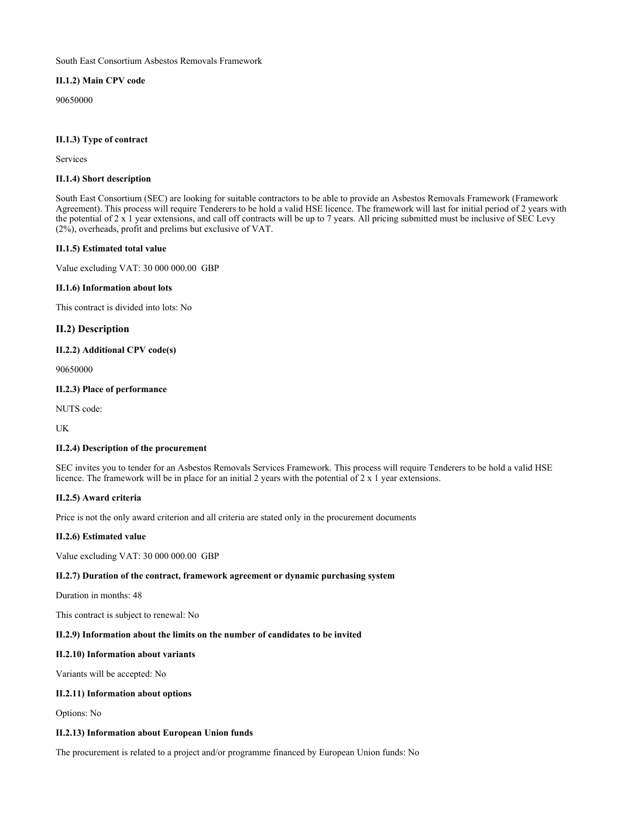#### **South East Consortium Asbestos Removals Framework**

#### **II.1.2) Main CPV code**

**90650000**

#### **II.1.3) Type of contract**

**Services**

#### **II.1.4) Short description**

South East Consortium (SEC) are looking for suitable contractors to be able to provide an Asbestos Removals Framework (Framework Agreement). This process will require Tenderers to be hold a valid HSE licence. The framework will last for initial period of 2 years with the potential of  $2 \times 1$  year extensions, and call off contracts will be up to 7 years. All pricing submitted must be inclusive of SEC Levy **(2%), overheads, profit and prelims but exclusive of VAT.**

#### **II.1.5) Estimated total value**

**Value excluding VAT: 30 000 000.00 GBP**

#### **II.1.6) Information about lots**

**This contract is divided into lots: No**

#### **II.2) Description**

#### **II.2.2) Additional CPV code(s)**

**90650000**

#### **II.2.3) Place of performance**

**NUTS code:**

**UK**

#### **II.2.4) Description of the procurement**

SEC invites you to tender for an Asbestos Removals Services Framework. This process will require Tenderers to be hold a valid HSE licence. The framework will be in place for an initial 2 years with the potential of  $2 \times 1$  year extensions.

#### **II.2.5) Award criteria**

**Price is not the only award criterion and all criteria are stated only in the procurement documents**

#### **II.2.6) Estimated value**

**Value excluding VAT: 30 000 000.00 GBP**

#### **II.2.7) Duration of the contract, framework agreement or dynamic purchasing system**

**Duration in months: 48**

**This contract is subject to renewal: No**

#### **II.2.9) Information about the limits on the number of candidates to be invited**

#### **II.2.10) Information about variants**

**Variants will be accepted: No**

#### **II.2.11) Information about options**

**Options: No**

#### **II.2.13) Information about European Union funds**

**The procurement is related to a project and/or programme financed by European Union funds: No**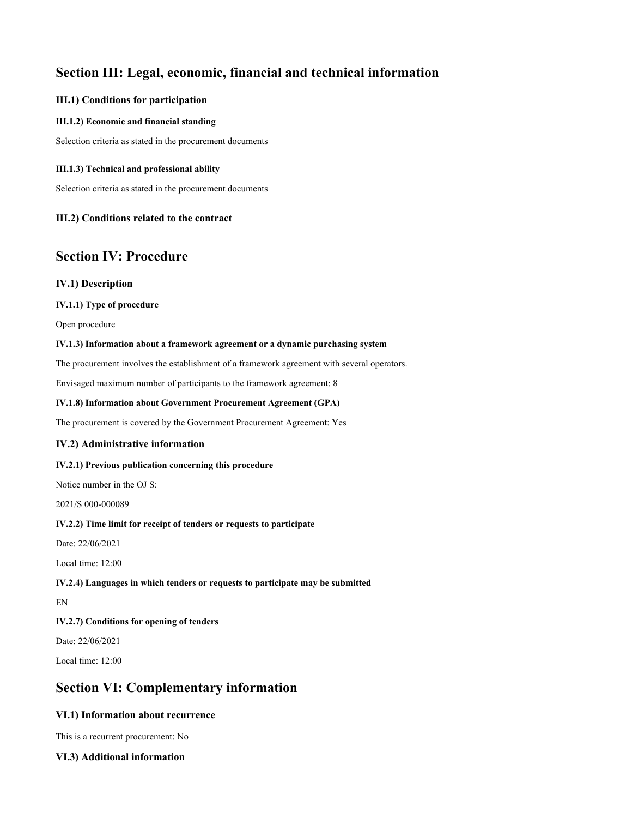# **Section III: Legal, economic, financial and technical information**

#### **III.1) Conditions for participation**

#### **III.1.2) Economic and financial standing**

**Selection criteria as stated in the procurement documents**

#### **III.1.3) Technical and professional ability**

**Selection criteria as stated in the procurement documents**

### **III.2) Conditions related to the contract**

# **Section IV: Procedure**

### **IV.1) Description**

#### **IV.1.1) Type of procedure**

**Open procedure**

#### **IV.1.3) Information about a framework agreement or a dynamic purchasing system**

**The procurement involves the establishment of a framework agreement with several operators.**

**Envisaged maximum number of participants to the framework agreement: 8**

#### **IV.1.8) Information about Government Procurement Agreement (GPA)**

**The procurement is covered by the Government Procurement Agreement: Yes**

#### **IV.2) Administrative information**

#### **IV.2.1) Previous publication concerning this procedure**

**Notice number in the OJ S:**

**2021/S 000-000089**

#### **IV.2.2) Time limit for receipt of tenders or requests to participate**

**Date: 22/06/2021**

**Local time: 12:00**

#### **IV.2.4) Languages in which tenders or requests to participate may be submitted**

**EN**

# **IV.2.7) Conditions for opening of tenders**

**Date: 22/06/2021**

**Local time: 12:00**

# **Section VI: Complementary information**

# **VI.1) Information about recurrence**

**This is a recurrent procurement: No**

# **VI.3) Additional information**